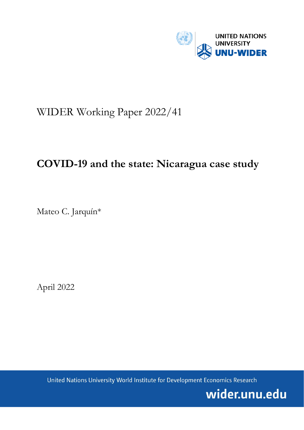

# WIDER Working Paper 2022/41

## **COVID-19 and the state: Nicaragua case study**

Mateo C. Jarquín\*

April 2022

United Nations University World Institute for Development Economics Research

wider.unu.edu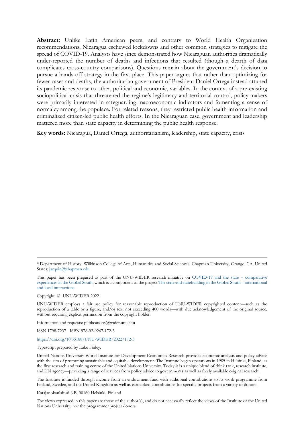**Abstract:** Unlike Latin American peers, and contrary to World Health Organization recommendations, Nicaragua eschewed lockdowns and other common strategies to mitigate the spread of COVID-19. Analysts have since demonstrated how Nicaraguan authorities dramatically under-reported the number of deaths and infections that resulted (though a dearth of data complicates cross-country comparisons). Questions remain about the government's decision to pursue a hands-off strategy in the first place. This paper argues that rather than optimizing for fewer cases and deaths, the authoritarian government of President Daniel Ortega instead attuned its pandemic response to other, political and economic, variables. In the context of a pre-existing sociopolitical crisis that threatened the regime's legitimacy and territorial control, policy-makers were primarily interested in safeguarding macroeconomic indicators and fomenting a sense of normalcy among the populace. For related reasons, they restricted public health information and criminalized citizen-led public health efforts. In the Nicaraguan case, government and leadership mattered more than state capacity in determining the public health response.

**Key words:** Nicaragua, Daniel Ortega, authoritarianism, leadership, state capacity, crisis

Copyright © UNU-WIDER 2022

UNU-WIDER employs a fair use policy for reasonable reproduction of UNU-WIDER copyrighted content—such as the reproduction of a table or a figure, and/or text not exceeding 400 words—with due acknowledgement of the original source, without requiring explicit permission from the copyright holder.

Information and requests: publications@wider.unu.edu

ISSN 1798-7237 ISBN 978-92-9267-172-3

#### <https://doi.org/10.35188/UNU-WIDER/2022/172-3>

Typescript prepared by Luke Finley.

United Nations University World Institute for Development Economics Research provides economic analysis and policy advice with the aim of promoting sustainable and equitable development. The Institute began operations in 1985 in Helsinki, Finland, as the first research and training centre of the United Nations University. Today it is a unique blend of think tank, research institute, and UN agency—providing a range of services from policy advice to governments as well as freely available original research.

The Institute is funded through income from an endowment fund with additional contributions to its work programme from Finland, Sweden, and the United Kingdom as well as earmarked contributions for specific projects from a variety of donors.

Katajanokanlaituri 6 B, 00160 Helsinki, Finland

The views expressed in this paper are those of the author(s), and do not necessarily reflect the views of the Institute or the United Nations University, nor the programme/project donors.

<sup>\*</sup> Department of History, Wilkinson College of Arts, Humanities and Social Sciences, Chapman University, Orange, CA, United States; [jarquin@chapman.edu](mailto:jarquin@chapman.edu)

This paper has been prepared as part of the UNU-WIDER research initiative on [COVID-19 and the state –](https://www.wider.unu.edu/node/239521) comparative [experiences in the Global South,](https://www.wider.unu.edu/node/239521) which is a component of the projec[t The state and statebuilding in the Global South –](https://www.wider.unu.edu/node/237413) international [and local interactions.](https://www.wider.unu.edu/node/237413)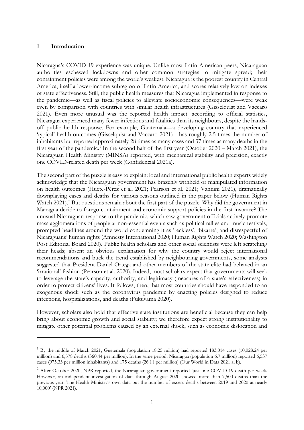### **1 Introduction**

Nicaragua's COVID-19 experience was unique. Unlike most Latin American peers, Nicaraguan authorities eschewed lockdowns and other common strategies to mitigate spread; their containment policies were among the world's weakest. Nicaragua is the poorest country in Central America, itself a lower-income subregion of Latin America, and scores relatively low on indexes of state effectiveness. Still, the public health measures that Nicaragua implemented in response to the pandemic—as well as fiscal policies to alleviate socioeconomic consequences—were weak even by comparison with countries with similar health infrastructures (Gisselquist and Vaccaro 2021). Even more unusual was the reported health impact: according to official statistics, Nicaragua experienced many fewer infections and fatalities than its neighbours, despite the handsoff public health response. For example, Guatemala—a developing country that experienced 'typical' health outcomes (Gisselquist and Vaccaro 2021)—has roughly 2.5 times the number of inhabitants but reported approximately 28 times as many cases and 37 times as many deaths in the first year of the pandemic.<sup>[1](#page-2-0)</sup> In the second half of the first year (October 2020 – March 2021), the Nicaraguan Health Ministry (MINSA) reported, with mechanical stability and precision, exactly one COVID-related death per week (Confidencial 2021a).

The second part of the puzzle is easy to explain: local and international public health experts widely acknowledge that the Nicaraguan government has brazenly withheld or manipulated information on health outcomes (Huete-Pérez et al. 2021; Pearson et al. 2021; Vannini 2021), dramatically downplaying cases and deaths for various reasons outlined in the paper below (Human Rights Watch 2021). [2](#page-2-1) But questions remain about the first part of the puzzle: Why did the government in Managua decide to forego containment and economic support policies in the first instance? The unusual Nicaraguan response to the pandemic, which saw government officials actively promote mass agglomerations of people at non-essential events such as political rallies and music festivals, prompted headlines around the world condemning it as 'reckless', 'bizarre', and disrespectful of Nicaraguans' human rights (Amnesty International 2020; Human Rights Watch 2020; Washington Post Editorial Board 2020). Public health scholars and other social scientists were left scratching their heads; absent an obvious explanation for why the country would reject international recommendations and buck the trend established by neighbouring governments, some analysts suggested that President Daniel Ortega and other members of the state elite had behaved in an 'irrational' fashion (Pearson et al. 2020). Indeed, most scholars expect that governments will seek to leverage the state's capacity, authority, and legitimacy (measures of a state's effectiveness) in order to protect citizens' lives. It follows, then, that most countries should have responded to an exogenous shock such as the coronavirus pandemic by enacting policies designed to reduce infections, hospitalizations, and deaths (Fukuyama 2020).

However, scholars also hold that effective state institutions are beneficial because they can help bring about economic growth and social stability; we therefore expect strong institutionality to mitigate other potential problems caused by an external shock, such as economic dislocation and

<span id="page-2-0"></span> $1$  By the middle of March 2021, Guatemala (population 18.25 million) had reported 183,014 cases (10,028.24 per million) and 6,578 deaths (360.44 per million). In the same period, Nicaragua (population 6.7 million) reported 6,537 cases (975.33 per million inhabitants) and 175 deaths (26.11 per million) (Our World in Data 2021 a, b).

<span id="page-2-1"></span><sup>&</sup>lt;sup>2</sup> After October 2020, NPR reported, the Nicaraguan government reported 'just one COVID-19 death per week. However, an independent investigation of data through August 2020 showed more than 7,500 deaths than the previous year. The Health Ministry's own data put the number of excess deaths between 2019 and 2020 at nearly 10,000' (NPR 2021).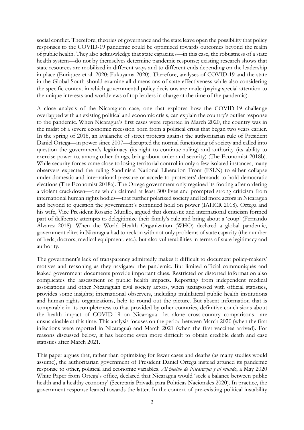social conflict. Therefore, theories of governance and the state leave open the possibility that policy responses to the COVID-19 pandemic could be optimized towards outcomes beyond the realm of public health. They also acknowledge that state capacities—in this case, the robustness of a state health system—do not by themselves determine pandemic response; existing research shows that state resources are mobilized in different ways and to different ends depending on the leadership in place (Enriquez et al. 2020; Fukuyama 2020). Therefore, analyses of COVID-19 and the state in the Global South should examine all dimensions of state effectiveness while also considering the specific context in which governmental policy decisions are made (paying special attention to the unique interests and worldviews of top leaders in charge at the time of the pandemic).

A close analysis of the Nicaraguan case, one that explores how the COVID-19 challenge overlapped with an existing political and economic crisis, can explain the country's outlier response to the pandemic. When Nicaragua's first cases were reported in March 2020, the country was in the midst of a severe economic recession born from a political crisis that began two years earlier. In the spring of 2018, an avalanche of street protests against the authoritarian rule of President Daniel Ortega—in power since 2007—disrupted the normal functioning of society and called into question the government's legitimacy (its right to continue ruling) and authority (its ability to exercise power to, among other things, bring about order and security) (The Economist 2018b). While security forces came close to losing territorial control in only a few isolated instances, many observers expected the ruling Sandinista National Liberation Front (FSLN) to either collapse under domestic and international pressure or accede to protesters' demands to hold democratic elections (The Economist 2018a). The Ortega government only regained its footing after ordering a violent crackdown—one which claimed at least 300 lives and prompted strong criticism from international human rights bodies—that further polarized society and led more actors in Nicaragua and beyond to question the government's continued hold on power (IAHCR 2018). Ortega and his wife, Vice President Rosario Murillo, argued that domestic and international criticism formed part of deliberate attempts to delegitimize their family's rule and bring about a 'coup' (Fernando Álvarez 2018). When the World Health Organization (WHO) declared a global pandemic, government elites in Nicaragua had to reckon with not only problems of state capacity (the number of beds, doctors, medical equipment, etc.), but also vulnerabilities in terms of state legitimacy and authority.

The government's lack of transparency admittedly makes it difficult to document policy-makers' motives and reasoning as they navigated the pandemic. But limited official communiqués and leaked government documents provide important clues. Restricted or distorted information also complicates the assessment of public health impacts. Reporting from independent medical associations and other Nicaraguan civil society actors, when juxtaposed with official statistics, provides some insights; international observers, including multilateral public health institutions and human rights organizations, help to round out the picture. But absent information that is comparable in its completeness to that provided by other countries, definitive conclusions about the health impact of COVID-19 on Nicaragua—let alone cross-country comparisons—are unsustainable at this time. This analysis focuses on the period between March 2020 (when the first infections were reported in Nicaragua) and March 2021 (when the first vaccines arrived). For reasons discussed below, it has become even more difficult to obtain credible death and case statistics after March 2021.

This paper argues that, rather than optimizing for fewer cases and deaths (as many studies would assume), the authoritarian government of President Daniel Ortega instead attuned its pandemic response to other, political and economic variables. *Al pueblo de Nicaragua y al mundo*, a May 2020 White Paper from Ortega's office, declared that Nicaragua would 'seek a balance between public health and a healthy economy' (Secretaría Privada para Políticas Nacionales 2020). In practice, the government response leaned towards the latter. In the context of pre-existing political instability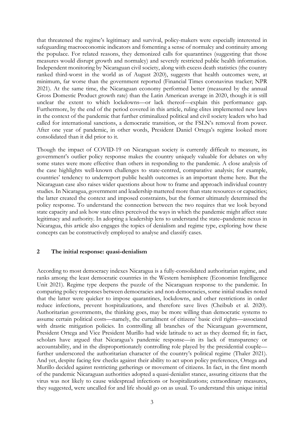that threatened the regime's legitimacy and survival, policy-makers were especially interested in safeguarding macroeconomic indicators and fomenting a sense of normalcy and continuity among the populace. For related reasons, they demonized calls for quarantines (suggesting that those measures would disrupt growth and normalcy) and severely restricted public health information. Independent monitoring by Nicaraguan civil society, along with excess death statistics (the country ranked third-worst in the world as of August 2020), suggests that health outcomes were, at minimum, far worse than the government reported (Financial Times coronavirus tracker; NPR 2021). At the same time, the Nicaraguan economy performed better (measured by the annual Gross Domestic Product growth rate) than the Latin American average in 2020, though it is still unclear the extent to which lockdowns—or lack thereof—explain this performance gap. Furthermore, by the end of the period covered in this article, ruling elites implemented new laws in the context of the pandemic that further criminalized political and civil society leaders who had called for international sanctions, a democratic transition, or the FSLN's removal from power. After one year of pandemic, in other words, President Daniel Ortega's regime looked more consolidated than it did prior to it.

Though the impact of COVID-19 on Nicaraguan society is currently difficult to measure, its government's outlier policy response makes the country uniquely valuable for debates on why some states were more effective than others in responding to the pandemic. A close analysis of the case highlights well-known challenges to state-centred, comparative analysis; for example, countries' tendency to underreport public health outcomes is an important theme here. But the Nicaraguan case also raises wider questions about how to frame and approach individual country studies. In Nicaragua, government and leadership mattered more than state resources or capacities; the latter created the context and imposed constraints, but the former ultimately determined the policy response. To understand the connection between the two requires that we look beyond state capacity and ask how state elites perceived the ways in which the pandemic might affect state legitimacy and authority. In adopting a leadership lens to understand the state–pandemic nexus in Nicaragua, this article also engages the topics of denialism and regime type, exploring how these concepts can be constructively employed to analyse and classify cases.

## **2 The initial response: quasi-denialism**

According to most democracy indexes Nicaragua is a fully-consolidated authoritarian regime, and ranks among the least democratic countries in the Western hemisphere (Economist Intelligence Unit 2021). Regime type deepens the puzzle of the Nicaraguan response to the pandemic. In comparing policy responses between democracies and non-democracies, some initial studies noted that the latter were quicker to impose quarantines, lockdowns, and other restrictions in order reduce infections, prevent hospitalizations, and therefore save lives (Cheibub et al. 2020). Authoritarian governments, the thinking goes, may be more willing than democratic systems to assume certain political costs—namely, the curtailment of citizens' basic civil rights—associated with drastic mitigation policies. In controlling all branches of the Nicaraguan government, President Ortega and Vice President Murillo had wide latitude to act as they deemed fit; in fact, scholars have argued that Nicaragua's pandemic response—in its lack of transparency or accountability, and in the disproportionately controlling role played by the presidential couple further underscored the authoritarian character of the country's political regime (Thaler 2021). And yet, despite facing few checks against their ability to act upon policy preferences, Ortega and Murillo decided against restricting gatherings or movement of citizens. In fact, in the first month of the pandemic Nicaraguan authorities adopted a quasi-denialist stance, assuring citizens that the virus was not likely to cause widespread infections or hospitalizations; extraordinary measures, they suggested, were uncalled for and life should go on as usual. To understand this unique initial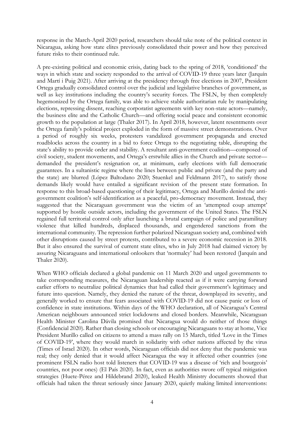response in the March-April 2020 period, researchers should take note of the political context in Nicaragua, asking how state elites previously consolidated their power and how they perceived future risks to their continued rule.

A pre-existing political and economic crisis, dating back to the spring of 2018, 'conditioned' the ways in which state and society responded to the arrival of COVID-19 three years later (Jarquín and Martí i Puig 2021). After arriving at the presidency through free elections in 2007, President Ortega gradually consolidated control over the judicial and legislative branches of government, as well as key institutions including the country's security forces. The FSLN, by then completely hegemonized by the Ortega family, was able to achieve stable authoritarian rule by manipulating elections, repressing dissent, reaching corporatist agreements with key non-state actors—namely, the business elite and the Catholic Church—and offering social peace and consistent economic growth to the population at large (Thaler 2017). In April 2018, however, latent resentments over the Ortega family's political project exploded in the form of massive street demonstrations. Over a period of roughly six weeks, protesters vandalized government propaganda and erected roadblocks across the country in a bid to force Ortega to the negotiating table, disrupting the state's ability to provide order and stability. A resultant anti-government coalition—composed of civil society, student movements, and Ortega's erstwhile allies in the Church and private sector demanded the president's resignation or, at minimum, early elections with full democratic guarantees. In a sultanistic regime where the lines between public and private (and the party and the state) are blurred (López Baltodano 2020; Stuenkel and Feldmann 2017), to satisfy those demands likely would have entailed a significant revision of the present state formation. In response to this broad-based questioning of their legitimacy, Ortega and Murillo denied the antigovernment coalition's self-identification as a peaceful, pro-democracy movement. Instead, they suggested that the Nicaraguan government was the victim of an 'attempted coup attempt' supported by hostile outside actors, including the government of the United States. The FSLN regained full territorial control only after launching a brutal campaign of police and paramilitary violence that killed hundreds, displaced thousands, and engendered sanctions from the international community. The repression further polarized Nicaraguan society and, combined with other disruptions caused by street protests, contributed to a severe economic recession in 2018. But it also ensured the survival of current state elites, who in July 2018 had claimed victory by assuring Nicaraguans and international onlookers that 'normalcy' had been restored (Jarquín and Thaler 2020).

When WHO officials declared a global pandemic on 11 March 2020 and urged governments to take corresponding measures, the Nicaraguan leadership reacted as if it were carrying forward earlier efforts to neutralize political dynamics that had called their government's legitimacy and future into question. Namely, they denied the nature of the threat, downplayed its severity, and generally worked to ensure that fears associated with COVID-19 did not cause panic or loss of confidence in state institutions. Within days of the WHO declaration, all of Nicaragua's Central American neighbours announced strict lockdowns and closed borders. Meanwhile, Nicaraguan Health Minister Carolina Dávila promised that Nicaragua would do neither of those things (Confidencial 2020). Rather than closing schools or encouraging Nicaraguans to stay at home, Vice President Murillo called on citizens to attend a mass rally on 15 March, titled 'Love in the Times of COVID-19', where they would march in solidarity with other nations affected by the virus (Times of Israel 2020). In other words, Nicaraguan officials did not deny that the pandemic was real; they only denied that it would affect Nicaragua the way it affected other countries (one prominent FSLN radio host told listeners that COVID-19 was a disease of 'rich and bourgeois' countries, not poor ones) (El País 2020). In fact, even as authorities swore off typical mitigation strategies (Huete-Pérez and Hildebrand 2020), leaked Health Ministry documents showed that officials had taken the threat seriously since January 2020, quietly making limited interventions: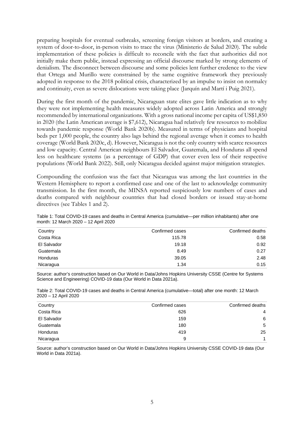preparing hospitals for eventual outbreaks, screening foreign visitors at borders, and creating a system of door-to-door, in-person visits to trace the virus (Ministerio de Salud 2020). The subtle implementation of these policies is difficult to reconcile with the fact that authorities did not initially make them public, instead expressing an official discourse marked by strong elements of denialism. The disconnect between discourse and some policies lent further credence to the view that Ortega and Murillo were constrained by the same cognitive framework they previously adopted in response to the 2018 political crisis, characterized by an impulse to insist on normalcy and continuity, even as severe dislocations were taking place (Jarquín and Martí i Puig 2021).

During the first month of the pandemic, Nicaraguan state elites gave little indication as to why they were not implementing health measures widely adopted across Latin America and strongly recommended by international organizations. With a gross national income per capita of US\$1,850 in 2020 (the Latin American average is \$7,612), Nicaragua had relatively few resources to mobilize towards pandemic response (World Bank 2020b). Measured in terms of physicians and hospital beds per 1,000 people, the country also lags behind the regional average when it comes to health coverage (World Bank 2020c, d). However, Nicaragua is not the only country with scarce resources and low capacity. Central American neighbours El Salvador, Guatemala, and Honduras all spend less on healthcare systems (as a percentage of GDP) that cover even less of their respective populations (World Bank 2022). Still, only Nicaragua decided against major mitigation strategies.

Compounding the confusion was the fact that Nicaragua was among the last countries in the Western Hemisphere to report a confirmed case and one of the last to acknowledge community transmission. In the first month, the MINSA reported suspiciously low numbers of cases and deaths compared with neighbour countries that had closed borders or issued stay-at-home directives (see Tables 1 and 2).

| Table 1: Total COVID-19 cases and deaths in Central America (cumulative—per million inhabitants) after one |  |
|------------------------------------------------------------------------------------------------------------|--|
| month: 12 March 2020 - 12 April 2020                                                                       |  |

| Country     | Confirmed cases | Confirmed deaths |
|-------------|-----------------|------------------|
| Costa Rica  | 115.78          | 0.58             |
| El Salvador | 19.18           | 0.92             |
| Guatemala   | 8.49            | 0.27             |
| Honduras    | 39.05           | 2.48             |
| Nicaragua   | 1.34            | 0.15             |

Source: author's construction based on Our World in Data/Johns Hopkins University CSSE (Centre for Systems Science and Engineering) COVID-19 data (Our World in Data 2021a).

Table 2: Total COVID-19 cases and deaths in Central America (cumulative—total) after one month: 12 March 2020 – 12 April 2020

| Country         | Confirmed cases | Confirmed deaths |
|-----------------|-----------------|------------------|
| Costa Rica      | 626             | 4                |
| El Salvador     | 159             | 6                |
| Guatemala       | 180             | 5                |
| <b>Honduras</b> | 419             | 25               |
| Nicaragua       | 9               | 1                |

Source: author's construction based on Our World in Data/Johns Hopkins University CSSE COVID-19 data (Our World in Data 2021a).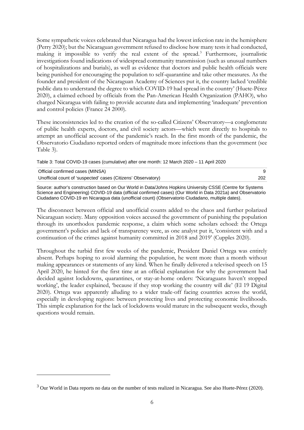Some sympathetic voices celebrated that Nicaragua had the lowest infection rate in the hemisphere (Perry 2020); but the Nicaraguan government refused to disclose how many tests it had conducted, making it impossible to verify the real extent of the spread.<sup>[3](#page-7-0)</sup> Furthermore, journalistic investigations found indications of widespread community transmission (such as unusual numbers of hospitalizations and burials), as well as evidence that doctors and public health officials were being punished for encouraging the population to self-quarantine and take other measures. As the founder and president of the Nicaraguan Academy of Sciences put it, the country lacked 'credible public data to understand the degree to which COVID-19 had spread in the country' (Huete-Pérez 2020), a claimed echoed by officials from the Pan-American Health Organization (PAHO), who charged Nicaragua with failing to provide accurate data and implementing 'inadequate' prevention and control policies (France 24 2000).

These inconsistencies led to the creation of the so-called Citizens' Observatory—a conglomerate of public health experts, doctors, and civil society actors—which went directly to hospitals to attempt an unofficial account of the pandemic's reach. In the first month of the pandemic, the Observatorio Ciudadano reported orders of magnitude more infections than the government (see Table 3).

Table 3: Total COVID-19 cases (cumulative) after one month: 12 March 2020 – 11 April 2020

| Official confirmed cases (MINSA)                              |     |
|---------------------------------------------------------------|-----|
| Unofficial count of 'suspected' cases (Citizens' Observatory) | 202 |
|                                                               |     |

Source: author's construction based on Our World in Data/Johns Hopkins University CSSE (Centre for Systems Science and Engineering) COVID-19 data (official confirmed cases) (Our World in Data 2021a) and Observatorio Ciudadano COVID-19 en Nicaragua data (unofficial count) (Observatorio Ciudadano, multiple dates).

The disconnect between official and unofficial counts added to the chaos and further polarized Nicaraguan society. Many opposition voices accused the government of punishing the population through its unorthodox pandemic response, a claim which some scholars echoed: the Ortega government's policies and lack of transparency were, as one analyst put it, 'consistent with and a continuation of the crimes against humanity committed in 2018 and 2019' (Cupples 2020).

Throughout the turbid first few weeks of the pandemic, President Daniel Ortega was entirely absent. Perhaps hoping to avoid alarming the population, he went more than a month without making appearances or statements of any kind. When he finally delivered a televised speech on 15 April 2020, he hinted for the first time at an official explanation for why the government had decided against lockdowns, quarantines, or stay-at-home orders: 'Nicaraguans haven't stopped working', the leader explained, 'because if they stop working the country will die' (El 19 Digital 2020). Ortega was apparently alluding to a wider trade-off facing countries across the world, especially in developing regions: between protecting lives and protecting economic livelihoods. This simple explanation for the lack of lockdowns would mature in the subsequent weeks, though questions would remain.

<span id="page-7-0"></span><sup>&</sup>lt;sup>3</sup> Our World in Data reports no data on the number of tests realized in Nicaragua. See also Huete-Pérez (2020).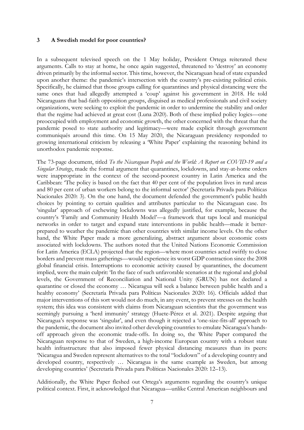#### **3 A Swedish model for poor countries?**

In a subsequent televised speech on the 1 May holiday, President Ortega reiterated these arguments. Calls to stay at home, he once again suggested, threatened to 'destroy' an economy driven primarily by the informal sector. This time, however, the Nicaraguan head of state expanded upon another theme: the pandemic's intersection with the country's pre-existing political crisis. Specifically, he claimed that those groups calling for quarantines and physical distancing were the same ones that had allegedly attempted a 'coup' against his government in 2018. He told Nicaraguans that bad-faith opposition groups, disguised as medical professionals and civil society organizations, were seeking to exploit the pandemic in order to undermine the stability and order that the regime had achieved at great cost (Luna 2020). Both of these implied policy logics—one preoccupied with employment and economic growth, the other concerned with the threat that the pandemic posed to state authority and legitimacy—were made explicit through government communiqués around this time. On 15 May 2020, the Nicaraguan presidency responded to growing international criticism by releasing a 'White Paper' explaining the reasoning behind its unorthodox pandemic response.

The 73-page document, titled *To the Nicaraguan People and the World: A Report on COVID-19 and a Singular Strategy*, made the formal argument that quarantines, lockdowns, and stay-at-home orders were inappropriate in the context of the second-poorest country in Latin America and the Caribbean: 'The policy is based on the fact that 40 per cent of the population lives in rural areas and 80 per cent of urban workers belong to the informal sector' (Secretaría Privada para Políticas Nacionales 2020: 3). On the one hand, the document defended the government's public health choices by pointing to certain qualities and attributes particular to the Nicaraguan case. Its 'singular' approach of eschewing lockdowns was allegedly justified, for example, because the country's 'Family and Community Health Model'—a framework that taps local and municipal networks in order to target and expand state interventions in public health—made it betterprepared to weather the pandemic than other countries with similar income levels. On the other hand, the White Paper made a more generalizing, abstract argument about economic costs associated with lockdowns. The authors noted that the United Nations Economic Commission for Latin America (ECLA) projected that the region—where most countries acted swiftly to close borders and prevent mass gatherings—would experience its worst GDP contraction since the 2008 global financial crisis. Interruptions to economic activity caused by quarantines, the document implied, were the main culprit: 'In the face of such unfavorable scenarios at the regional and global levels, the Government of Reconciliation and National Unity (GRUN) has not declared a quarantine or closed the economy … Nicaragua will seek a balance between public health and a healthy economy' (Secretaría Privada para Políticas Nacionales 2020: 16). Officials added that major interventions of this sort would not do much, in any event, to prevent stresses on the health system; this idea was consistent with claims from Nicaraguan scientists that the government was seemingly pursuing a 'herd immunity' strategy (Huete-Pérez et al. 2021). Despite arguing that Nicaragua's response was 'singular', and even though it rejected a 'one-size-fits-all' approach to the pandemic, the document also invited other developing countries to emulate Nicaragua's handsoff approach given the economic trade-offs. In doing so, the White Paper compared the Nicaraguan response to that of Sweden, a high-income European country with a robust state health infrastructure that also imposed fewer physical distancing measures than its peers: 'Nicaragua and Sweden represent alternatives to the total "lockdown" of a developing country and developed country, respectively … Nicaragua is the same example as Sweden, but among developing countries' (Secretaría Privada para Políticas Nacionales 2020: 12–13).

Additionally, the White Paper fleshed out Ortega's arguments regarding the country's unique political context. First, it acknowledged that Nicaragua—unlike Central American neighbours and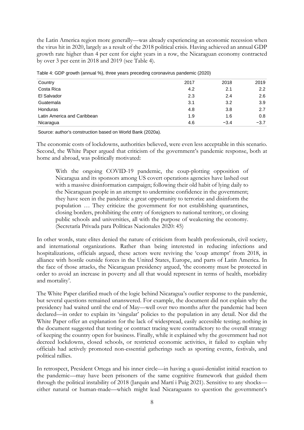the Latin America region more generally—was already experiencing an economic recession when the virus hit in 2020, largely as a result of the 2018 political crisis. Having achieved an annual GDP growth rate higher than 4 per cent for eight years in a row, the Nicaraguan economy contracted by over 3 per cent in 2018 and 2019 (see Table 4).

| Country                     | 2017 | 2018   | 2019   |
|-----------------------------|------|--------|--------|
| Costa Rica                  | 4.2  | 2.1    | 2.2    |
| El Salvador                 | 2.3  | 2.4    | 2.6    |
| Guatemala                   | 3.1  | 3.2    | 3.9    |
| <b>Honduras</b>             | 4.8  | 3.8    | 2.7    |
| Latin America and Caribbean | 1.9  | 1.6    | 0.8    |
| Nicaragua                   | 4.6  | $-3.4$ | $-3.7$ |

Table 4: GDP growth (annual %), three years preceding coronavirus pandemic (2020)

Source: author's construction based on World Bank (2020a).

The economic costs of lockdowns, authorities believed, were even less acceptable in this scenario. Second, the White Paper argued that criticism of the government's pandemic response, both at home and abroad, was politically motivated:

With the ongoing COVID-19 pandemic, the coup-plotting opposition of Nicaragua and its sponsors among US covert operations agencies have lashed out with a massive disinformation campaign; following their old habit of lying daily to the Nicaraguan people in an attempt to undermine confidence in the government; they have seen in the pandemic a great opportunity to terrorize and disinform the population … They criticize the government for not establishing quarantines, closing borders, prohibiting the entry of foreigners to national territory, or closing public schools and universities, all with the purpose of weakening the economy. (Secretaría Privada para Políticas Nacionales 2020: 45)

In other words, state elites denied the nature of criticism from health professionals, civil society, and international organizations. Rather than being interested in reducing infections and hospitalizations, officials argued, these actors were reviving the 'coup attempt' from 2018, in alliance with hostile outside forces in the United States, Europe, and parts of Latin America. In the face of those attacks, the Nicaraguan presidency argued, 'the economy must be protected in order to avoid an increase in poverty and all that would represent in terms of health, morbidity and mortality'.

The White Paper clarified much of the logic behind Nicaragua's outlier response to the pandemic, but several questions remained unanswered. For example, the document did not explain why the presidency had waited until the end of May—well over two months after the pandemic had been declared—in order to explain its 'singular' policies to the population in any detail. Nor did the White Paper offer an explanation for the lack of widespread, easily accessible testing; nothing in the document suggested that testing or contract tracing were contradictory to the overall strategy of keeping the country open for business. Finally, while it explained why the government had not decreed lockdowns, closed schools, or restricted economic activities, it failed to explain why officials had actively promoted non-essential gatherings such as sporting events, festivals, and political rallies.

In retrospect, President Ortega and his inner circle—in having a quasi-denialist initial reaction to the pandemic—may have been prisoners of the same cognitive framework that guided them through the political instability of 2018 (Jarquín and Martí i Puig 2021). Sensitive to any shocks either natural or human-made—which might lead Nicaraguans to question the government's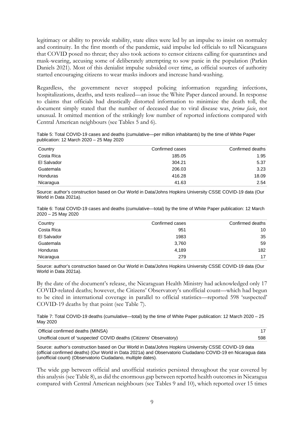legitimacy or ability to provide stability, state elites were led by an impulse to insist on normalcy and continuity. In the first month of the pandemic, said impulse led officials to tell Nicaraguans that COVID posed no threat; they also took actions to censor citizens calling for quarantines and mask-wearing, accusing some of deliberately attempting to sow panic in the population (Parkin Daniels 2021). Most of this denialist impulse subsided over time, as official sources of authority started encouraging citizens to wear masks indoors and increase hand-washing.

Regardless, the government never stopped policing information regarding infections, hospitalizations, deaths, and tests realized—an issue the White Paper danced around. In response to claims that officials had drastically distorted information to minimize the death toll, the document simply stated that the number of deceased due to viral disease was, *prima facie*, not unusual. It omitted mention of the strikingly low number of reported infections compared with Central American neighbours (see Tables 5 and 6).

Table 5: Total COVID-19 cases and deaths (cumulative—per million inhabitants) by the time of White Paper publication: 12 March 2020 – 25 May 2020

| Country         | Confirmed cases | Confirmed deaths |
|-----------------|-----------------|------------------|
| Costa Rica      | 185.05          | 1.95             |
| El Salvador     | 304.21          | 5.37             |
| Guatemala       | 206.03          | 3.23             |
| <b>Honduras</b> | 416.28          | 18.09            |
| Nicaragua       | 41.63           | 2.54             |

Source: author's construction based on Our World in Data/Johns Hopkins University CSSE COVID-19 data (Our World in Data 2021a).

|                      |  | Table 6: Total COVID-19 cases and deaths (cumulative—total) by the time of White Paper publication: 12 March |  |  |  |
|----------------------|--|--------------------------------------------------------------------------------------------------------------|--|--|--|
| $2020 - 25$ May 2020 |  |                                                                                                              |  |  |  |

| Country     | Confirmed cases | Confirmed deaths |
|-------------|-----------------|------------------|
| Costa Rica  | 951             | 10               |
| El Salvador | 1983            | 35               |
| Guatemala   | 3,760           | 59               |
| Honduras    | 4,189           | 182              |
| Nicaragua   | 279             | 17               |

Source: author's construction based on Our World in Data/Johns Hopkins University CSSE COVID-19 data (Our World in Data 2021a).

By the date of the document's release, the Nicaraguan Health Ministry had acknowledged only 17 COVID-related deaths; however, the Citizens' Observatory's unofficial count—which had begun to be cited in international coverage in parallel to official statistics—reported 598 'suspected' COVID-19 deaths by that point (see Table 7).

Table 7: Total COVID-19 deaths (cumulative—total) by the time of White Paper publication: 12 March 2020 – 25 May 2020

| Official confirmed deaths (MINSA)                                    |     |
|----------------------------------------------------------------------|-----|
| Unofficial count of 'suspected' COVID deaths (Citizens' Observatory) | 598 |

Source: author's construction based on Our World in Data/Johns Hopkins University CSSE COVID-19 data (official confirmed deaths) (Our World in Data 2021a) and Observatorio Ciudadano COVID-19 en Nicaragua data (unofficial count) (Observatorio Ciudadano, multiple dates).

The wide gap between official and unofficial statistics persisted throughout the year covered by this analysis (see Table 8), as did the enormous gap between reported health outcomes in Nicaragua compared with Central American neighbours (see Tables 9 and 10), which reported over 15 times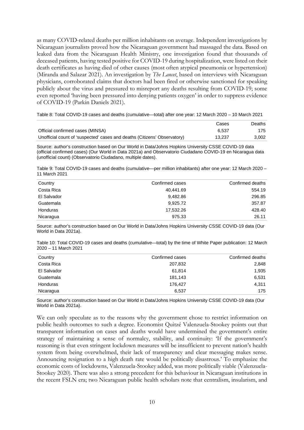as many COVID-related deaths per million inhabitants on average. Independent investigations by Nicaraguan journalists proved how the Nicaraguan government had massaged the data. Based on leaked data from the Nicaraguan Health Ministry, one investigation found that thousands of deceased patients, having tested positive for COVID-19 during hospitalization, were listed on their death certificates as having died of other causes (most often atypical pneumonia or hypertension) (Miranda and Salazar 2021). An investigation by *The Lancet*, based on interviews with Nicaraguan physicians, corroborated claims that doctors had been fired or otherwise sanctioned for speaking publicly about the virus and pressured to misreport any deaths resulting from COVID-19; some even reported 'having been pressured into denying patients oxygen' in order to suppress evidence of COVID-19 (Parkin Daniels 2021).

Table 8: Total COVID-19 cases and deaths (cumulative—total) after one year: 12 March 2020 – 10 March 2021

|                                                                          | Cases  | Deaths |
|--------------------------------------------------------------------------|--------|--------|
| Official confirmed cases (MINSA)                                         | 6.537  | 175    |
| Unofficial count of 'suspected' cases and deaths (Citizens' Observatory) | 13.237 | 3.002  |

Source: author's construction based on Our World in Data/Johns Hopkins University CSSE COVID-19 data (official confirmed cases) (Our World in Data 2021a) and Observatorio Ciudadano COVID-19 en Nicaragua data (unofficial count) (Observatorio Ciudadano, multiple dates).

Table 9: Total COVID-19 cases and deaths (cumulative—per million inhabitants) after one year: 12 March 2020 – 11 March 2021

| Confirmed cases | Confirmed deaths |
|-----------------|------------------|
| 40,441.69       | 554.19           |
| 9,482.86        | 296.85           |
| 9,925.72        | 357.87           |
| 17.532.26       | 428.40           |
| 975.33          | 26.11            |
|                 |                  |

Source: author's construction based on Our World in Data/Johns Hopkins University CSSE COVID-19 data (Our World in Data 2021a).

Table 10: Total COVID-19 cases and deaths (cumulative—total) by the time of White Paper publication: 12 March 2020 – 11 March 2021

| Country     | Confirmed cases | Confirmed deaths |
|-------------|-----------------|------------------|
| Costa Rica  | 207,832         | 2,848            |
| El Salvador | 61,814          | 1,935            |
| Guatemala   | 181,143         | 6,531            |
| Honduras    | 176.427         | 4,311            |
| Nicaragua   | 6,537           | 175              |
|             |                 |                  |

Source: author's construction based on Our World in Data/Johns Hopkins University CSSE COVID-19 data (Our World in Data 2021a).

We can only speculate as to the reasons why the government chose to restrict information on public health outcomes to such a degree. Economist Quitzé Valenzuela-Stookey points out that transparent information on cases and deaths would have undermined the government's entire strategy of maintaining a sense of normalcy, stability, and continuity: 'If the government's reasoning is that even stringent lockdown measures will be insufficient to prevent nation's health system from being overwhelmed, their lack of transparency and clear messaging makes sense. Announcing resignation to a high death rate would be politically disastrous.' To emphasize the economic costs of lockdowns, Valenzuela-Stookey added, was more politically viable (Valenzuela-Stookey 2020). There was also a strong precedent for this behaviour in Nicaraguan institutions in the recent FSLN era; two Nicaraguan public health scholars note that centralism, insularism, and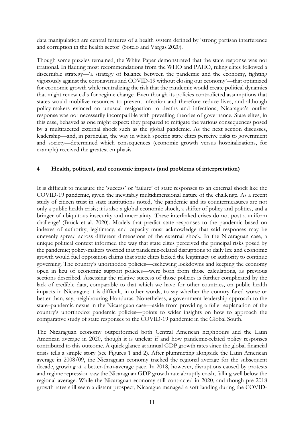data manipulation are central features of a health system defined by 'strong partisan interference and corruption in the health sector' (Sotelo and Vargas 2020).

Though some puzzles remained, the White Paper demonstrated that the state response was not irrational. In flauting most recommendations from the WHO and PAHO, ruling elites followed a discernible strategy—'a strategy of balance between the pandemic and the economy, fighting vigorously against the coronavirus and COVID-19 without closing our economy'—that optimized for economic growth while neutralizing the risk that the pandemic would create political dynamics that might renew calls for regime change. Even though its policies contradicted assumptions that states would mobilize resources to prevent infection and therefore reduce lives, and although policy-makers evinced an unusual resignation to deaths and infections, Nicaragua's outlier response was not necessarily incompatible with prevailing theories of governance. State elites, in this case, behaved as one might expect: they prepared to mitigate the various consequences posed by a multifaceted external shock such as the global pandemic. As the next section discusses, leadership—and, in particular, the way in which specific state elites perceive risks to government and society—determined which consequences (economic growth versus hospitalizations, for example) received the greatest emphasis.

## **4 Health, political, and economic impacts (and problems of interpretation)**

It is difficult to measure the 'success' or 'failure' of state responses to an external shock like the COVID-19 pandemic, given the inevitably multidimensional nature of the challenge. As a recent study of citizen trust in state institutions noted, 'the pandemic and its countermeasures are not only a public health crisis; it is also a global economic shock, a shifter of policy and politics, and a bringer of ubiquitous insecurity and uncertainty. These interlinked crises do not post a uniform challenge' (Brück et al. 2020). Models that predict state responses to the pandemic based on indexes of authority, legitimacy, and capacity must acknowledge that said responses may be unevenly spread across different dimensions of the external shock. In the Nicaraguan case, a unique political context informed the way that state elites perceived the principal risks posed by the pandemic; policy-makers worried that pandemic-related disruptions to daily life and economic growth would fuel opposition claims that state elites lacked the legitimacy or authority to continue governing. The country's unorthodox policies—eschewing lockdowns and keeping the economy open in lieu of economic support policies—were born from those calculations, as previous sections described. Assessing the relative success of those policies is further complicated by the lack of credible data, comparable to that which we have for other countries, on public health impacts in Nicaragua; it is difficult, in other words, to say whether the country fared worse or better than, say, neighbouring Honduras. Nonetheless, a government leadership approach to the state–pandemic nexus in the Nicaraguan case—aside from providing a fuller explanation of the country's unorthodox pandemic policies—points to wider insights on how to approach the comparative study of state responses to the COVID-19 pandemic in the Global South.

The Nicaraguan economy outperformed both Central American neighbours and the Latin American average in 2020, though it is unclear if and how pandemic-related policy responses contributed to this outcome. A quick glance at annual GDP growth rates since the global financial crisis tells a simple story (see Figures 1 and 2). After plummeting alongside the Latin American average in 2008/09, the Nicaraguan economy tracked the regional average for the subsequent decade, growing at a better-than-average pace. In 2018, however, disruptions caused by protests and regime repression saw the Nicaraguan GDP growth rate abruptly crash, falling well below the regional average. While the Nicaraguan economy still contracted in 2020, and though pre-2018 growth rates still seem a distant prospect, Nicaragua managed a soft landing during the COVID-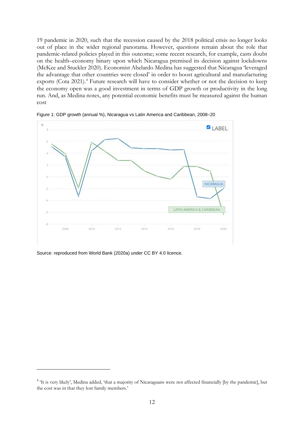19 pandemic in 2020, such that the recession caused by the 2018 political crisis no longer looks out of place in the wider regional panorama. However, questions remain about the role that pandemic-related policies played in this outcome; some recent research, for example, casts doubt on the health–economy binary upon which Nicaragua premised its decision against lockdowns (McKee and Stuckler 2020). Economist Abelardo Medina has suggested that Nicaragua 'leveraged the advantage that other countries were closed' in order to boost agricultural and manufacturing exports (Cota 2021). [4](#page-13-0) Future research will have to consider whether or not the decision to keep the economy open was a good investment in terms of GDP growth or productivity in the long run. And, as Medina notes, any potential economic benefits must be measured against the human cost



Figure 1: GDP growth (annual %), Nicaragua vs Latin America and Caribbean, 2008–20

Source: reproduced from World Bank (2020a) under CC BY 4.0 licence.

<span id="page-13-0"></span><sup>&</sup>lt;sup>4</sup> It is very likely', Medina added, 'that a majority of Nicaraguans were not affected financially [by the pandemic], but the cost was in that they lost family members.'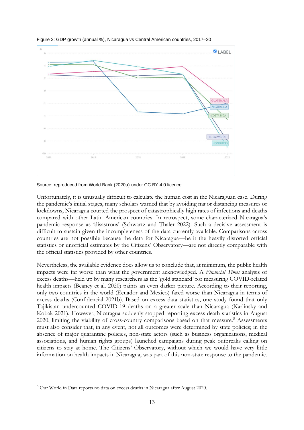

Figure 2: GDP growth (annual %), Nicaragua vs Central American countries, 2017–20

Source: reproduced from World Bank (2020a) under CC BY 4.0 licence.

Unfortunately, it is unusually difficult to calculate the human cost in the Nicaraguan case. During the pandemic's initial stages, many scholars warned that by avoiding major distancing measures or lockdowns, Nicaragua courted the prospect of catastrophically high rates of infections and deaths compared with other Latin American countries. In retrospect, some characterized Nicaragua's pandemic response as 'disastrous' (Schwartz and Thaler 2022). Such a decisive assessment is difficult to sustain given the incompleteness of the data currently available. Comparisons across countries are not possible because the data for Nicaragua—be it the heavily distorted official statistics or unofficial estimates by the Citizens' Observatory—are not directly comparable with the official statistics provided by other countries.

Nevertheless, the available evidence does allow us to conclude that, at minimum, the public health impacts were far worse than what the government acknowledged. A *Financial Times* analysis of excess deaths—held up by many researchers as the 'gold standard' for measuring COVID-related health impacts (Beaney et al. 2020) paints an even darker picture. According to their reporting, only two countries in the world (Ecuador and Mexico) fared worse than Nicaragua in terms of excess deaths (Confidencial 2021b). Based on excess data statistics, one study found that only Tajikistan undercounted COVID-19 deaths on a greater scale than Nicaragua (Karlinsky and Kobak 2021). However, Nicaragua suddenly stopped reporting excess death statistics in August 2020, limiting the viability of cross-country comparisons based on that measure.<sup>[5](#page-14-0)</sup> Assessments must also consider that, in any event, not all outcomes were determined by state policies; in the absence of major quarantine policies, non-state actors (such as business organizations, medical associations, and human rights groups) launched campaigns during peak outbreaks calling on citizens to stay at home. The Citizens' Observatory, without which we would have very little information on health impacts in Nicaragua, was part of this non-state response to the pandemic.

<span id="page-14-0"></span><sup>5</sup> Our World in Data reports no data on excess deaths in Nicaragua after August 2020.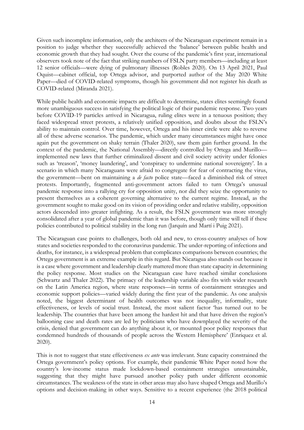Given such incomplete information, only the architects of the Nicaraguan experiment remain in a position to judge whether they successfully achieved the 'balance' between public health and economic growth that they had sought. Over the course of the pandemic's first year, international observers took note of the fact that striking numbers of FSLN party members—including at least 12 senior officials—were dying of pulmonary illnesses (Robles 2020). On 13 April 2021, Paul Oquist—cabinet official, top Ortega advisor, and purported author of the May 2020 White Paper—died of COVID-related symptoms, though his government did not register his death as COVID-related (Miranda 2021).

While public health and economic impacts are difficult to determine, states elites seemingly found more unambiguous success in satisfying the political logic of their pandemic response. Two years before COVID-19 particles arrived in Nicaragua, ruling elites were in a tenuous position; they faced widespread street protests, a relatively unified opposition, and doubts about the FSLN's ability to maintain control. Over time, however, Ortega and his inner circle were able to reverse all of these adverse scenarios. The pandemic, which under many circumstances might have once again put the government on shaky terrain (Thaler 2020), saw them gain further ground. In the context of the pandemic, the National Assembly—directly controlled by Ortega and Murillo implemented new laws that further criminalized dissent and civil society activity under felonies such as 'treason', 'money laundering', and 'conspiracy to undermine national sovereignty'. In a scenario in which many Nicaraguans were afraid to congregate for fear of contracting the virus, the government—bent on maintaining a *de facto* police state—faced a diminished risk of street protests. Importantly, fragmented anti-government actors failed to turn Ortega's unusual pandemic response into a rallying cry for opposition unity, nor did they seize the opportunity to present themselves as a coherent governing alternative to the current regime. Instead, as the government sought to make good on its vision of providing order and relative stability, opposition actors descended into greater infighting. As a result, the FSLN government was more strongly consolidated after a year of global pandemic than it was before, though only time will tell if these policies contributed to political stability in the long run (Jarquín and Martí i Puig 2021).

The Nicaraguan case points to challenges, both old and new, to cross-country analyses of how states and societies responded to the coronavirus pandemic. The under-reporting of infections and deaths, for instance, is a widespread problem that complicates comparisons between countries; the Ortega government is an extreme example in this regard. But Nicaragua also stands out because it is a case where government and leadership clearly mattered more than state capacity in determining the policy response. Most studies on the Nicaraguan case have reached similar conclusions (Schwartz and Thaler 2022). The primacy of the leadership variable also fits with wider research on the Latin America region, where state responses—in terms of containment strategies and economic support policies—varied widely during the first year of the pandemic. As one analysis noted, the biggest determinant of health outcomes was not inequality, informality, state effectiveness, or levels of social trust. Instead, the most salient factor 'has turned out to be leadership. The countries that have been among the hardest hit and that have driven the region's ballooning case and death rates are led by politicians who have downplayed the severity of the crisis, denied that government can do anything about it, or mounted poor policy responses that condemned hundreds of thousands of people across the Western Hemisphere' (Enriquez et al. 2020).

This is not to suggest that state effectiveness *ex ante* was irrelevant. State capacity constrained the Ortega government's policy options. For example, their pandemic White Paper noted how the country's low-income status made lockdown-based containment strategies unsustainable, suggesting that they might have pursued another policy path under different economic circumstances. The weakness of the state in other areas may also have shaped Ortega and Murillo's options and decision-making in other ways. Sensitive to a recent experience (the 2018 political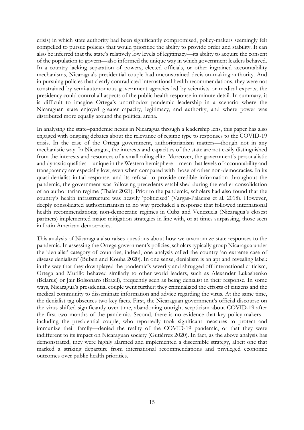crisis) in which state authority had been significantly compromised, policy-makers seemingly felt compelled to pursue policies that would prioritize the ability to provide order and stability. It can also be inferred that the state's relatively low levels of legitimacy—its ability to acquire the consent of the population to govern—also informed the unique way in which government leaders behaved. In a country lacking separation of powers, elected officials, or other ingrained accountability mechanisms, Nicaragua's presidential couple had unconstrained decision-making authority. And in pursuing policies that clearly contradicted international health recommendations, they were not constrained by semi-autonomous government agencies led by scientists or medical experts; the presidency could control all aspects of the public health response in minute detail. In summary, it is difficult to imagine Ortega's unorthodox pandemic leadership in a scenario where the Nicaraguan state enjoyed greater capacity, legitimacy, and authority, and where power was distributed more equally around the political arena.

In analysing the state–pandemic nexus in Nicaragua through a leadership lens, this paper has also engaged with ongoing debates about the relevance of regime type to responses to the COVID-19 crisis. In the case of the Ortega government, authoritarianism matters—though not in any mechanistic way. In Nicaragua, the interests and capacities of the state are not easily distinguished from the interests and resources of a small ruling elite. Moreover, the government's personalistic and dynastic qualities—unique in the Western hemisphere—mean that levels of accountability and transparency are especially low, even when compared with those of other non-democracies. In its quasi-denialist initial response, and its refusal to provide credible information throughout the pandemic, the government was following precedents established during the earlier consolidation of an authoritarian regime (Thaler 2021). Prior to the pandemic, scholars had also found that the country's health infrastructure was heavily 'politicised' (Vargas-Palacios et al. 2018). However, deeply consolidated authoritarianism in no way precluded a response that followed international health recommendations; non-democratic regimes in Cuba and Venezuela (Nicaragua's closest partners) implemented major mitigation strategies in line with, or at times surpassing, those seen in Latin American democracies.

This analysis of Nicaragua also raises questions about how we taxonomize state responses to the pandemic. In assessing the Ortega government's policies, scholars typically group Nicaragua under the 'denialist' category of countries; indeed, one analysis called the country 'an extreme case of disease denialism' (Buben and Kouba 2020). In one sense, denialism is an apt and revealing label: in the way that they downplayed the pandemic's severity and shrugged off international criticism, Ortega and Murillo behaved similarly to other world leaders, such as Alexander Lukashenko (Belarus) or Jair Bolsonaro (Brazil), frequently seen as being denialist in their response. In some ways, Nicaragua's presidential couple went further: they criminalized the efforts of citizens and the medical community to disseminate information and advice regarding the virus. At the same time, the denialist tag obscures two key facts. First, the Nicaraguan government's official discourse on the virus shifted significantly over time, abandoning outright scepticism about COVID-19 after the first two months of the pandemic. Second, there is no evidence that key policy-makers including the presidential couple, who reportedly took significant measures to protect and immunize their family—denied the reality of the COVID-19 pandemic, or that they were indifferent to its impact on Nicaraguan society (Gutiérrez 2020). In fact, as the above analysis has demonstrated, they were highly alarmed and implemented a discernible strategy, albeit one that marked a striking departure from international recommendations and privileged economic outcomes over public health priorities.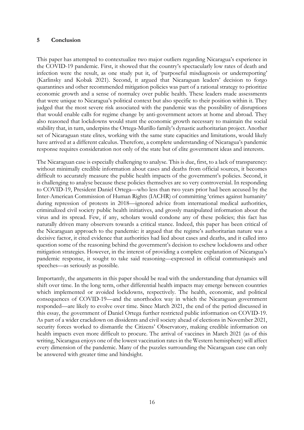### **5 Conclusion**

This paper has attempted to contextualize two major outliers regarding Nicaragua's experience in the COVID-19 pandemic. First, it showed that the country's spectacularly low rates of death and infection were the result, as one study put it, of 'purposeful misdiagnosis or underreporting' (Karlinsky and Kobak 2021). Second, it argued that Nicaraguan leaders' decision to forgo quarantines and other recommended mitigation policies was part of a rational strategy to prioritize economic growth and a sense of normalcy over public health. These leaders made assessments that were unique to Nicaragua's political context but also specific to their position within it. They judged that the most severe risk associated with the pandemic was the possibility of disruptions that would enable calls for regime change by anti-government actors at home and abroad. They also reasoned that lockdowns would stunt the economic growth necessary to maintain the social stability that, in turn, underpins the Ortega-Murillo family's dynastic authoritarian project. Another set of Nicaraguan state elites, working with the same state capacities and limitations, would likely have arrived at a different calculus. Therefore, a complete understanding of Nicaragua's pandemic response requires consideration not only of the state but of elite government ideas and interests.

The Nicaraguan case is especially challenging to analyse. This is due, first, to a lack of transparency: without minimally credible information about cases and deaths from official sources, it becomes difficult to accurately measure the public health impacts of the government's policies. Second, it is challenging to analyse because these policies themselves are so very controversial. In responding to COVID-19, President Daniel Ortega—who less than two years prior had been accused by the Inter-American Commission of Human Rights (IACHR) of committing 'crimes against humanity' during repression of protests in 2018—ignored advice from international medical authorities, criminalized civil society public health initiatives, and grossly manipulated information about the virus and its spread. Few, if any, scholars would condone any of these policies; this fact has naturally driven many observers towards a critical stance. Indeed, this paper has been critical of the Nicaraguan approach to the pandemic: it argued that the regime's authoritarian nature was a decisive factor, it cited evidence that authorities had lied about cases and deaths, and it called into question some of the reasoning behind the government's decision to eschew lockdowns and other mitigation strategies. However, in the interest of providing a complete explanation of Nicaragua's pandemic response, it sought to take said reasoning—expressed in official communiqués and speeches—as seriously as possible.

Importantly, the arguments in this paper should be read with the understanding that dynamics will shift over time. In the long term, other differential health impacts may emerge between countries which implemented or avoided lockdowns, respectively. The health, economic, and political consequences of COVID-19—and the unorthodox way in which the Nicaraguan government responded—are likely to evolve over time. Since March 2021, the end of the period discussed in this essay, the government of Daniel Ortega further restricted public information on COVID-19. As part of a wider crackdown on dissidents and civil society ahead of elections in November 2021, security forces worked to dismantle the Citizens' Observatory, making credible information on health impacts even more difficult to procure. The arrival of vaccines in March 2021 (as of this writing, Nicaragua enjoys one of the lowest vaccination rates in the Western hemisphere) will affect every dimension of the pandemic. Many of the puzzles surrounding the Nicaraguan case can only be answered with greater time and hindsight.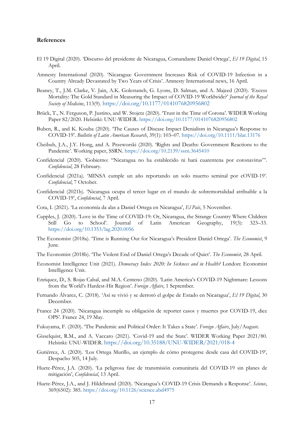#### **References**

- El 19 Digital (2020). 'Discurso del presidente de Nicaragua, Comandante Daniel Ortega', *El 19 Digital*, 15 April.
- Amnesty International (2020). 'Nicaragua: Government Increases Risk of COVID-19 Infection in a Country Already Devastated by Two Years of Crisis'. Amnesty International news, 16 April.
- Beaney, T., J.M. Clarke, V. Jain, A.K. Golestaneh, G. Lyons, D. Salman, and A. Majeed (2020). 'Excess Mortality: The Gold Standard in Measuring the Impact of COVID-19 Worldwide?' *Journal of the Royal Society of Medicine*, 113(9). <https://doi.org/10.1177/0141076820956802>
- Brück, T., N. Ferguson, P. Justino, and W. Stojetz (2020). 'Trust in the Time of Corona'. WIDER Working Paper 82/2020. Helsinki: UNU-WIDER. <https://doi.org/10.1177/0141076820956802>
- Buben, R., and K. Kouba (2020). 'The Causes of Disease Impact Denialism in Nicaragua's Response to COVID-19'. *Bulletin of Latin American Research*, 39(1): 103–07. <https://doi.org/10.1111/blar.13176>
- Cheibub, J.A., J.Y. Hong, and A. Przeworski (2020). 'Rights and Deaths: Government Reactions to the Pandemic'. Working paper, SSRN.<https://doi.org/10.2139/ssrn.3645410>
- Confidencial (2020). 'Gobierno: "Nicaragua no ha establecido ni hará cuarentena por coronavirus"'. *Confidencial*, 28 February.
- Confidencial (2021a). 'MINSA cumple un año reportando un solo muerto seminal por cOVID-19'. *Confidencial*, 7 October.
- Confidencial (2021b). 'Nicaragua ocupa el tercer lugar en el mundo de sobremortalidad atribuible a la COVID-19', *Confidencial*, 7 April.
- Cota, I. (2021). 'La economía da alas a Daniel Ortega en Nicaragua', *El País*, 5 November.
- Cupples, J. (2020). 'Love in the Time of COVID-19: Or, Nicaragua, the Strange Country Where Children Still Go to School'. Journal of Latin American Geography, 19(3): 323–33. <https://doi.org/10.1353/lag.2020.0056>
- The Economist (2018a). 'Time is Running Out for Nicaragua's President Daniel Ortega'. *The Economist*, 9 June.
- The Economist (2018b). 'The Violent End of Daniel Ortega's Decade of Quiet'. *The Economist*, 28 April.
- Economist Intelligence Unit (2021). *Democracy Index 2020: In Sickness and in Health?* London: Economist Intelligence Unit.
- Enriquez, D., S. Rojas Cabal, and M.A. Centeno (2020). 'Latin America's COVID-19 Nightmare: Lessons from the World's Hardest-Hit Region'. *Foreign Affairs*, 1 September.
- Fernando Álvarez, C. (2018). 'Así se vivió y se derrotó el golpe de Estado en Nicaragua', *El 19 Digital*, 30 December.
- France 24 (2020). 'Nicaragua incumple su obligación de reporter casos y muertes por COVID-19, dice OPS'. France 24, 19 May.
- Fukuyama, F. (2020). 'The Pandemic and Political Order: It Takes a State'. *Foreign Affairs*, July/August.
- Gisselquist, R.M., and A. Vaccaro (2021). 'Covid-19 and the State'. WIDER Working Paper 2021/80. Helsinki: UNU-WIDER. <https://doi.org/10.35188/UNU-WIDER/2021/018-4>
- Gutiérrez, A. (2020). 'Los Ortega Murillo, un ejemplo de cómo protegerse desde casa del COVID-19', Despacho 505, 14 July.
- Huete-Pérez, J.A. (2020). 'La peligrosa fase de transmisión comunitaria del COVID-19 sin planes de mitigación', *Confidencial*, 13 April.
- Huete-Pérez, J.A., and J. Hildebrand (2020). 'Nicaragua's COVID-19 Crisis Demands a Response'. *Science*, 369(6502): 385.<https://doi.org/10.1126/science.abd4975>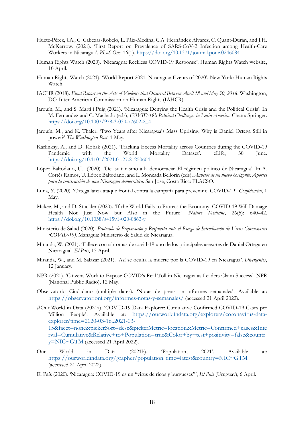- Huete-Pérez, J.A., C. Cabezas-Robelo, L. Páiz-Medina, C.A. Hernández Álvarez, C. Quant-Durán, and J.H. McKerrow. (2021). 'First Report on Prevalence of SARS-CoV-2 Infection among Health-Care Workers in Nicaragua'. *PLoS One*, 16(1). <https://doi.org/10.1371/journal.pone.0246084>
- Human Rights Watch (2020). 'Nicaragua: Reckless COVID-19 Response'. Human Rights Watch website, 10 April.
- Human Rights Watch (2021). 'World Report 2021. Nicaragua: Events of 2020'. New York: Human Rights Watch.
- IACHR (2018). *Final Report on the Acts of Violence that Occurred Between April 18 and May 30, 2018*. Washington, DC: Inter-American Commission on Human Rights (IAHCR).
- Jarquín, M., and S. Martí i Puig (2021). 'Nicaragua: Denying the Health Crisis and the Political Crisis'. In M. Fernandez and C. Machado (eds), *COVID-19's Political Challenges in Latin America*. Cham: Springer. [https://doi.org/10.1007/978-3-030-77602-2\\_4](https://doi.org/10.1007/978-3-030-77602-2_4)
- Jarquín, M., and K. Thaler. 'Two Years after Nicaragua's Mass Uprising, Why is Daniel Ortega Still in power?' *The Washington Post*, 1 May.
- Karlinksy, A., and D. Kobak (2021). 'Tracking Excess Mortality across Countries during the COVID-19 Pandemic with the World Mortality Dataset'. eLife, 30 June. <https://doi.org/10.1101/2021.01.27.21250604>
- López Baltodano, U. (2020). 'Del sultanismo a la democracia: El régimen político de Nicaragua'. In A. Cortés Ramos, U. López Baltodano, and L. Moncada Bellorin (eds), *Anhelos de un nuevo horizonte: Aportes para la construcción de una Nicaragua democrática*. San José, Costa Rica: FLACSO.
- Luna, Y. (2020). 'Ortega lanza ataque frontal contra la campaña para prevenir el COVID-19'. *Confidencial*, 1 May.
- Mckee, M., and D. Stuckler (2020). 'If the World Fails to Protect the Economy, COVID-19 Will Damage Health Not Just Now but Also in the Future'. *Nature Medicine*, 26(5): 640–42. <https://doi.org/10.1038/s41591-020-0863-y>
- Ministerio de Salud (2020). *Protocolo de Preparación y Respuesta ante el Riesgo de Introducción de Virus Coronavirus (COVID-19)*. Managua: Ministerio de Salud de Nicaragua.
- Miranda, W. (2021). 'Fallece con síntomas de covid-19 uno de los principales asesores de Daniel Ortega en Nicaragua'. *El País*, 13 April.
- Miranda, W., and M. Salazar (2021). 'Así se oculta la muerte por la COVID-19 en Nicaragua'. *Divergentes*, 12 January.
- NPR (2021). 'Citizens Work to Expose COVID's Real Toll in Nicaragua as Leaders Claim Success'. NPR (National Public Radio), 12 May.
- Observatorio Ciudadano (multiple dates). 'Notas de prensa e informes semanales'. Available at: <https://observatorioni.org/informes-notas-y-semanales/> (accessed 21 April 2022).
- #Our World in Data (2021a). 'COVID-19 Data Explorer: Cumulative Confirmed COVID-19 Cases per Million People'. Available at: [https://ourworldindata.org/explorers/coronavirus-data](https://ourworldindata.org/explorers/coronavirus-data-explorer?time=2020-03-16..2021-03-15&facet=none&pickerSort=desc&pickerMetric=location&Metric=Confirmed+cases&Interval=Cumulative&Relative+to+Population=true&Color+by+test+positivity=false&country=NIC%7EGTM)[explorer?time=2020-03-16..2021-03-](https://ourworldindata.org/explorers/coronavirus-data-explorer?time=2020-03-16..2021-03-15&facet=none&pickerSort=desc&pickerMetric=location&Metric=Confirmed+cases&Interval=Cumulative&Relative+to+Population=true&Color+by+test+positivity=false&country=NIC%7EGTM) [15&facet=none&pickerSort=desc&pickerMetric=location&Metric=Confirmed+cases&Inte](https://ourworldindata.org/explorers/coronavirus-data-explorer?time=2020-03-16..2021-03-15&facet=none&pickerSort=desc&pickerMetric=location&Metric=Confirmed+cases&Interval=Cumulative&Relative+to+Population=true&Color+by+test+positivity=false&country=NIC%7EGTM) [rval=Cumulative&Relative+to+Population=true&Color+by+test+positivity=false&countr](https://ourworldindata.org/explorers/coronavirus-data-explorer?time=2020-03-16..2021-03-15&facet=none&pickerSort=desc&pickerMetric=location&Metric=Confirmed+cases&Interval=Cumulative&Relative+to+Population=true&Color+by+test+positivity=false&country=NIC%7EGTM)  $y=NIC \sim GTM$  (accessed 21 April 2022).
- Our World in Data (2021b). 'Population, 2021'. Available at: [https://ourworldindata.org/grapher/population?time=latest&country=NIC~GTM](https://ourworldindata.org/grapher/population?time=latest&country=NIC%7EGTM) (accessed 21 April 2022).
- El País (2020). 'Nicaragua: COVID-19 es un "virus de ricos y burgueses"', *El País* (Uruguay), 6 April.